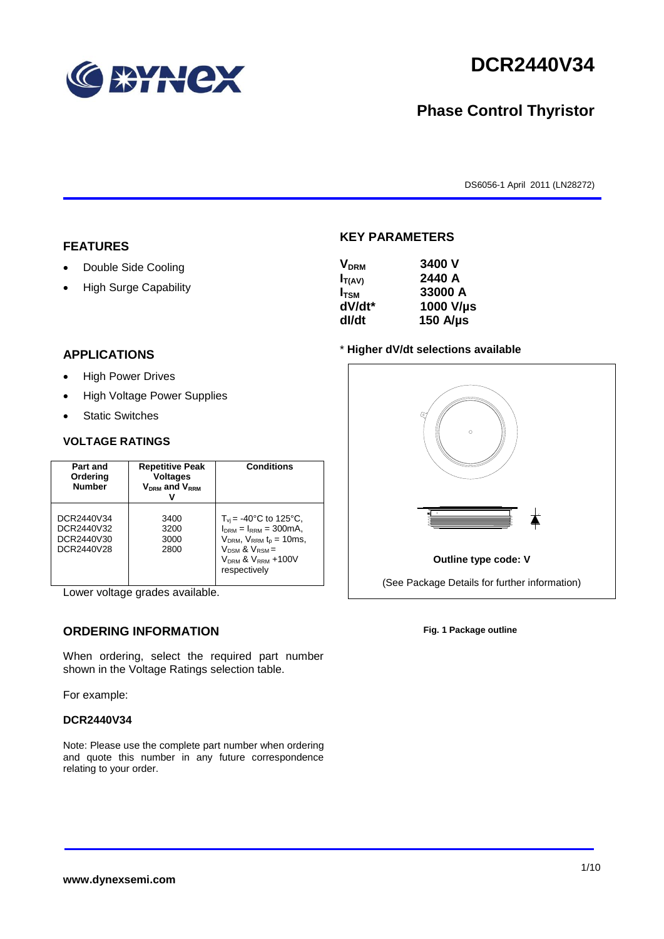

# **DCR2440V34**

## **Phase Control Thyristor**

DS6056-1 April 2011 (LN28272)

#### **FEATURES**

- Double Side Cooling
- High Surge Capability

#### $V_{\text{DPM}}$  **3400 V**

**KEY PARAMETERS**

| Y DRM            | JTUV V         |
|------------------|----------------|
| $I_{T(AV)}$      | 2440 A         |
| I <sub>tsm</sub> | 33000 A        |
| dV/dt*           | 1000 V/µs      |
| dl/dt            | 150 A/ $\mu$ s |
|                  |                |

#### **APPLICATIONS**

- High Power Drives
- High Voltage Power Supplies
- Static Switches

#### **VOLTAGE RATINGS**

| Part and<br>Ordering<br><b>Number</b>                | <b>Repetitive Peak</b><br><b>Voltages</b><br>$V_{DRM}$ and $V_{RRM}$ | <b>Conditions</b>                                                                                                                                                                      |
|------------------------------------------------------|----------------------------------------------------------------------|----------------------------------------------------------------------------------------------------------------------------------------------------------------------------------------|
| DCR2440V34<br>DCR2440V32<br>DCR2440V30<br>DCR2440V28 | 3400<br>3200<br>3000<br>2800                                         | $T_{vi}$ = -40°C to 125°C,<br>$I_{DRM} = I_{RRM} = 300 \text{mA}$ ,<br>$V_{DRM}$ , $V_{RRM}$ $t_{p}$ = 10ms,<br>$V_{DSM}$ & $V_{RSM}$ =<br>$V_{DRM}$ & $V_{RRM}$ +100V<br>respectively |

Lower voltage grades available.

### **ORDERING INFORMATION**

When ordering, select the required part number shown in the Voltage Ratings selection table.

For example:

#### **DCR2440V34**

Note: Please use the complete part number when ordering and quote this number in any future correspondence relating to your order.

#### \* **Higher dV/dt selections available**



**Fig. 1 Package outline**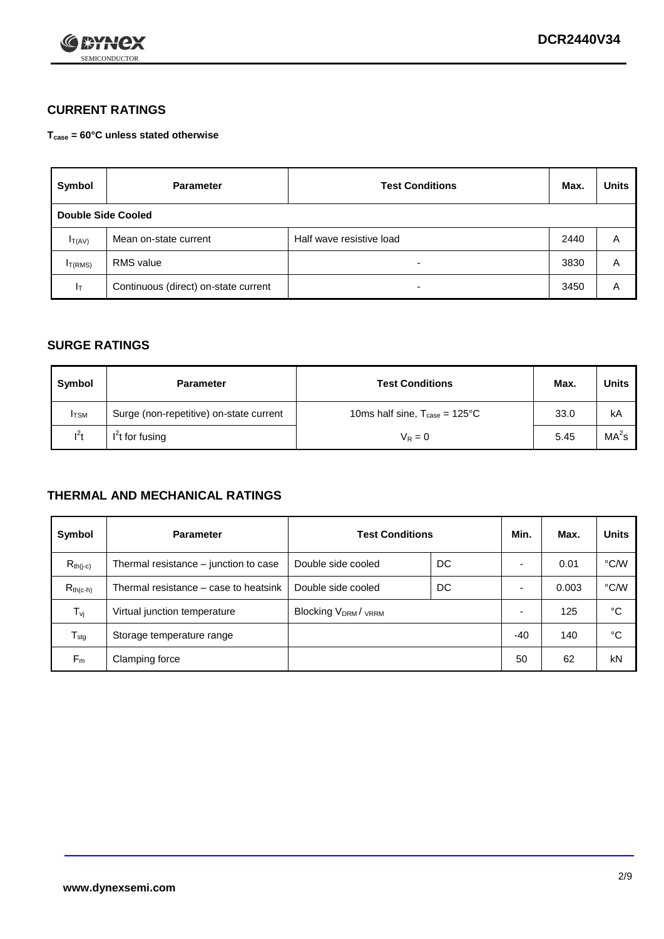

### **CURRENT RATINGS**

**Tcase = 60°C unless stated otherwise**

| Symbol       | <b>Parameter</b>                     | <b>Test Conditions</b>   | Max. | <b>Units</b> |  |  |
|--------------|--------------------------------------|--------------------------|------|--------------|--|--|
|              | Double Side Cooled                   |                          |      |              |  |  |
| $I_{T(AV)}$  | Mean on-state current                | Half wave resistive load | 2440 | A            |  |  |
| $I_{T(RMS)}$ | RMS value                            | $\overline{\phantom{a}}$ | 3830 | Α            |  |  |
| Iт           | Continuous (direct) on-state current | $\overline{\phantom{a}}$ | 3450 | Α            |  |  |

#### **SURGE RATINGS**

| Symbol       | <b>Parameter</b>                        | <b>Test Conditions</b>                           | Max. | <b>Units</b>      |
|--------------|-----------------------------------------|--------------------------------------------------|------|-------------------|
| <b>I</b> TSM | Surge (non-repetitive) on-state current | 10ms half sine, $T_{\text{case}} = 125^{\circ}C$ | 33.0 | kA                |
| $l^2t$       | I <sup>2</sup> t for fusing             | $V_R = 0$                                        | 5.45 | MA <sup>2</sup> S |

#### **THERMAL AND MECHANICAL RATINGS**

| Symbol           | <b>Parameter</b>                      | <b>Test Conditions</b>    |    | Min. | Max.  | <b>Units</b> |
|------------------|---------------------------------------|---------------------------|----|------|-------|--------------|
| $R_{th(i-c)}$    | Thermal resistance – junction to case | Double side cooled        | DC |      | 0.01  | °C/W         |
| $R_{th(c-h)}$    | Thermal resistance – case to heatsink | Double side cooled        | DC |      | 0.003 | °C/W         |
| $T_{\nu j}$      | Virtual junction temperature          | <b>Blocking VDRM/VRRM</b> |    |      | 125   | °C           |
| $T_{\text{stg}}$ | Storage temperature range             |                           |    | -40  | 140   | °C           |
| $F_m$            | Clamping force                        |                           |    | 50   | 62    | kN           |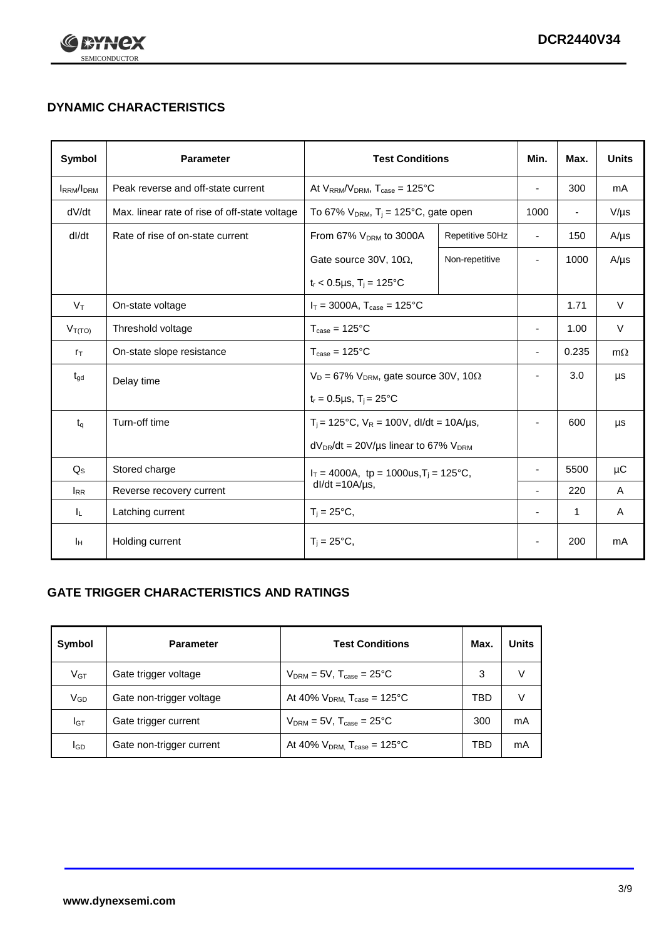

## **DYNAMIC CHARACTERISTICS**

| Symbol            | <b>Parameter</b>                              | <b>Test Conditions</b>                                                |                 | Min.                     | Max.                     | <b>Units</b> |
|-------------------|-----------------------------------------------|-----------------------------------------------------------------------|-----------------|--------------------------|--------------------------|--------------|
| <b>IRRM</b> /IDRM | Peak reverse and off-state current            | At $V_{RRM}/V_{DRM}$ , $T_{case} = 125^{\circ}C$                      |                 | L,                       | 300                      | mA           |
| dV/dt             | Max. linear rate of rise of off-state voltage | To 67% $V_{DRM}$ , T <sub>i</sub> = 125°C, gate open                  |                 | 1000                     | $\overline{\phantom{a}}$ | $V/\mu s$    |
| dl/dt             | Rate of rise of on-state current              | From 67% V <sub>DRM</sub> to 3000A                                    | Repetitive 50Hz | $\overline{\phantom{a}}$ | 150                      | $A/\mu s$    |
|                   |                                               | Gate source 30V, 10 $\Omega$ ,                                        | Non-repetitive  | ٠                        | 1000                     | $A/\mu s$    |
|                   |                                               | $t_r$ < 0.5µs, $T_i$ = 125°C                                          |                 |                          |                          |              |
| $V_T$             | On-state voltage                              | $I_T = 3000A$ , $T_{case} = 125^{\circ}C$                             |                 |                          | 1.71                     | $\vee$       |
| $V_{T(TO)}$       | Threshold voltage                             | $T_{\text{case}} = 125^{\circ}C$                                      |                 | ä,                       | 1.00                     | $\vee$       |
| $r_{\text{T}}$    | On-state slope resistance                     | $T_{\text{case}} = 125^{\circ}C$                                      |                 | ٠                        | 0.235                    | $m\Omega$    |
| $t_{\rm gd}$      | Delay time                                    | $V_D = 67\%$ V <sub>DRM</sub> , gate source 30V, 10 $\Omega$          |                 | ٠                        | 3.0                      | μs           |
|                   |                                               | $t_r = 0.5 \mu s$ , $T_i = 25^{\circ}C$                               |                 |                          |                          |              |
| $t_q$             | Turn-off time                                 | $T_i$ = 125°C, $V_R$ = 100V, dl/dt = 10A/µs,                          |                 | ٠                        | 600                      | μs           |
|                   |                                               | $dV_{DR}/dt = 20 V/\mu s$ linear to 67% $V_{DRM}$                     |                 |                          |                          |              |
| $Q_{\rm S}$       | Stored charge                                 | $I_T = 4000A$ , tp = 1000us, $T_i = 125$ °C,<br>$dl/dt = 10A/\mu s$ , |                 |                          | 5500                     | μC           |
| $I_{RR}$          | Reverse recovery current                      |                                                                       |                 |                          | 220                      | A            |
| IL.               | Latching current                              | $T_i = 25^{\circ}C$ ,                                                 |                 | $\overline{\phantom{0}}$ | 1                        | Α            |
| ΙH                | Holding current                               | $T_i = 25^{\circ}C,$                                                  |                 |                          | 200                      | mA           |

### **GATE TRIGGER CHARACTERISTICS AND RATINGS**

| Symbol          | <b>Parameter</b>         | <b>Test Conditions</b>                | Max. | Units |
|-----------------|--------------------------|---------------------------------------|------|-------|
| V <sub>GT</sub> | Gate trigger voltage     | $V_{DRM}$ = 5V, $T_{case}$ = 25°C     | 3    | V     |
| $V_{GD}$        | Gate non-trigger voltage | At 40% $V_{DRM}$ , $T_{case}$ = 125°C | TBD  | V     |
| Iст             | Gate trigger current     | $V_{DRM}$ = 5V, $T_{case}$ = 25°C     | 300  | mA    |
| <b>I</b> GD     | Gate non-trigger current | At 40% $V_{DRM}$ , $T_{case}$ = 125°C | TBD  | mA    |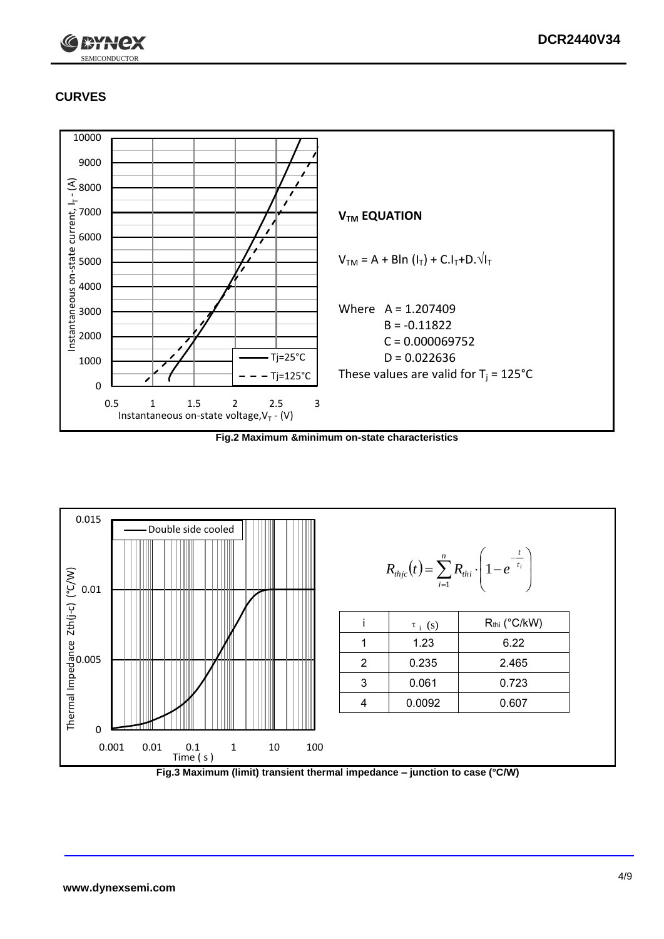

## **CURVES**



**Fig.2 Maximum &minimum on-state characteristics**



**Fig.3 Maximum (limit) transient thermal impedance – junction to case (°C/W)**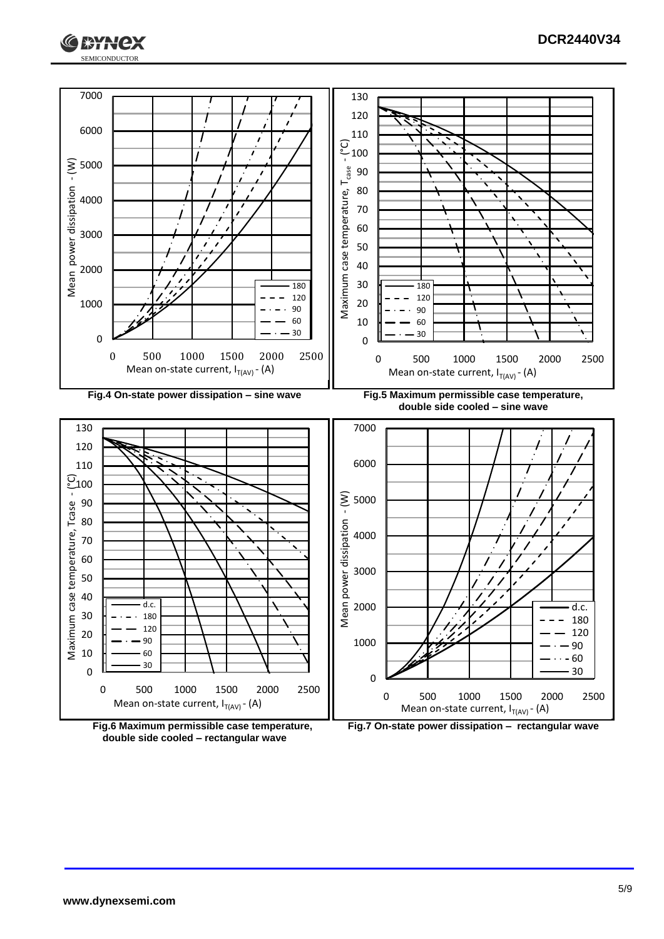





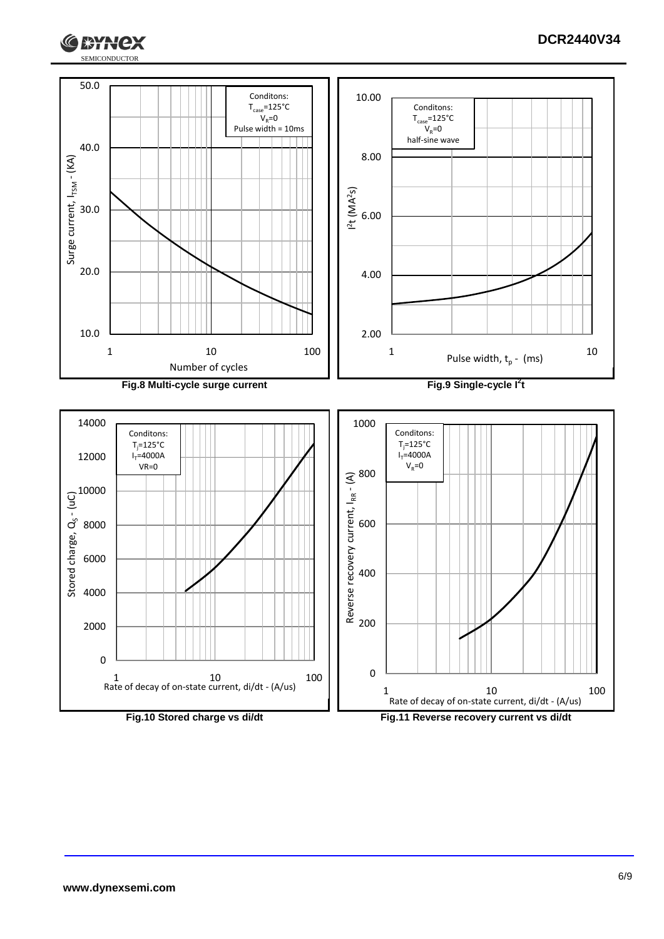



**ГЖҮНСХ**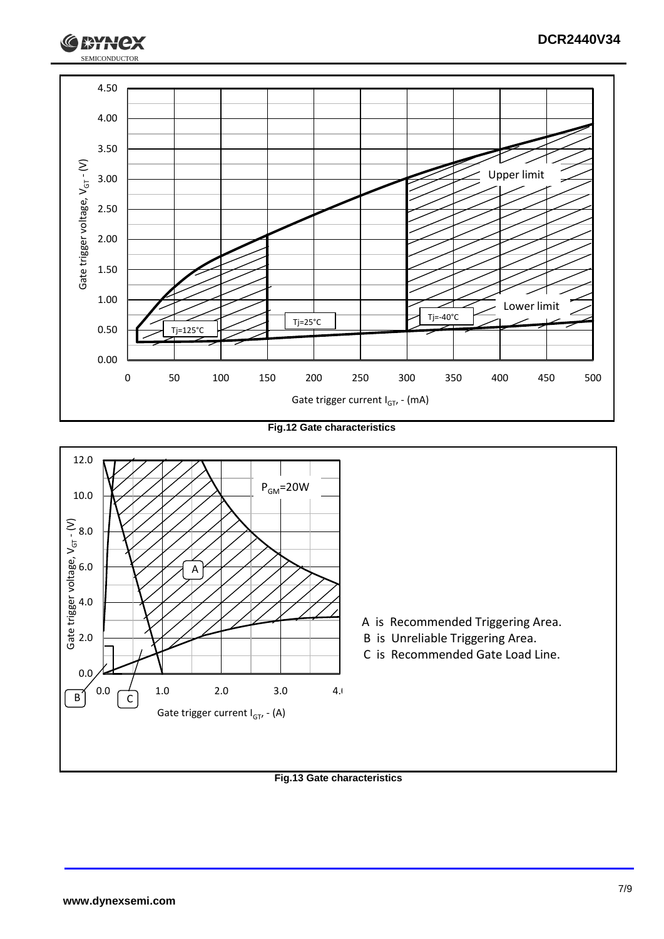

**Fig.12 Gate characteristics**



#### **Fig.13 Gate characteristics**

SEMICONDUCTOR

**XXX**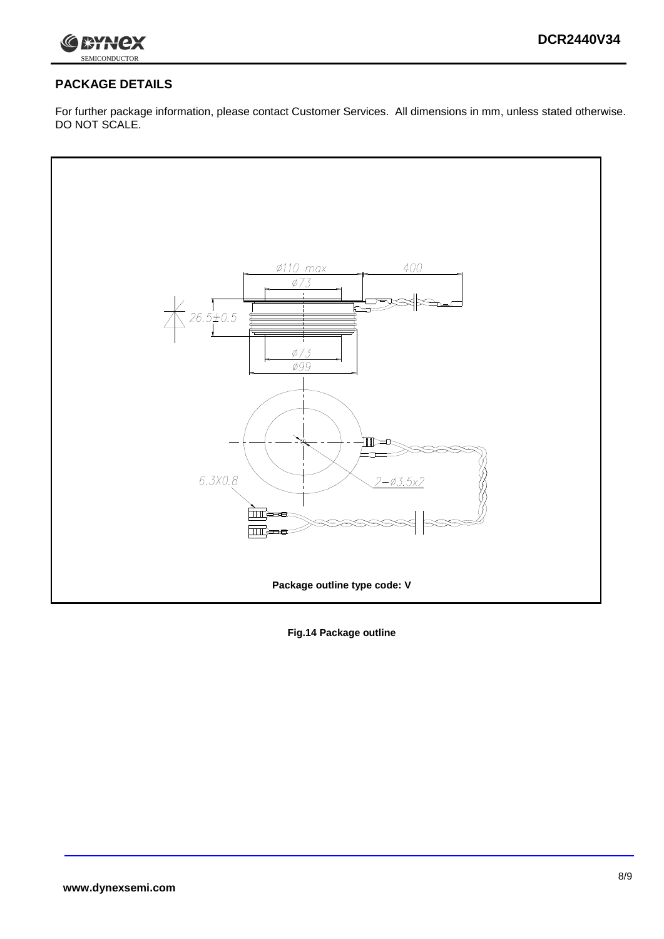

### **PACKAGE DETAILS**

For further package information, please contact Customer Services. All dimensions in mm, unless stated otherwise. DO NOT SCALE.



**Fig.14 Package outline**